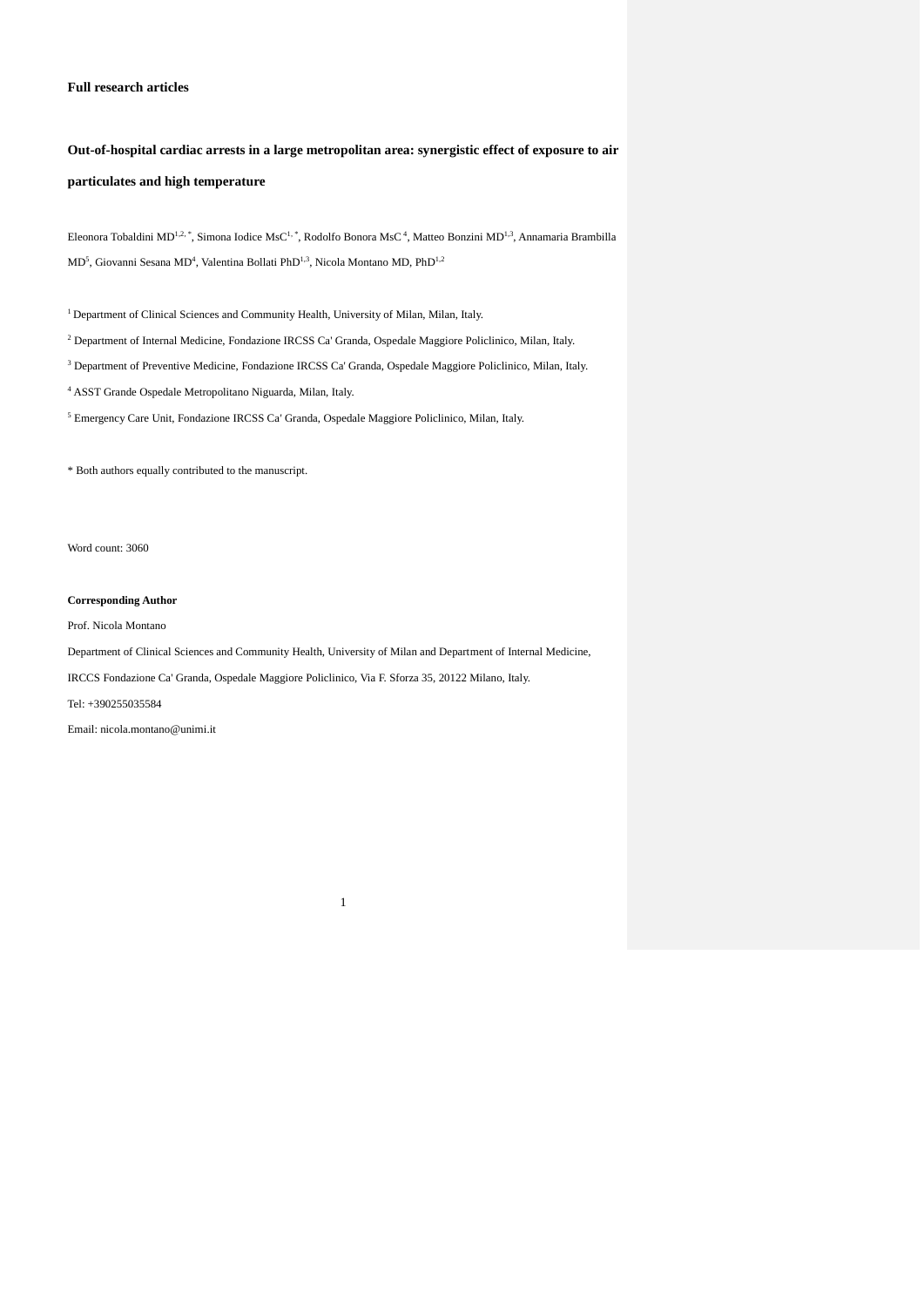## **Full research articles**

# **Out-of-hospital cardiac arrests in a large metropolitan area: synergistic effect of exposure to air particulates and high temperature**

Eleonora Tobaldini MD<sup>1,2,</sup> \*, Simona Iodice MsC<sup>1, \*</sup>, Rodolfo Bonora MsC<sup>4</sup>, Matteo Bonzini MD<sup>1,3</sup>, Annamaria Brambilla MD<sup>5</sup>, Giovanni Sesana MD<sup>4</sup>, Valentina Bollati PhD<sup>1,3</sup>, Nicola Montano MD, PhD<sup>1,2</sup>

<sup>1</sup> Department of Clinical Sciences and Community Health, University of Milan, Milan, Italy.

<sup>2</sup> Department of Internal Medicine, Fondazione IRCSS Ca' Granda, Ospedale Maggiore Policlinico, Milan, Italy.

<sup>3</sup> Department of Preventive Medicine, Fondazione IRCSS Ca' Granda, Ospedale Maggiore Policlinico, Milan, Italy.

<sup>4</sup> ASST Grande Ospedale Metropolitano Niguarda, Milan, Italy.

<sup>5</sup> Emergency Care Unit, Fondazione IRCSS Ca' Granda, Ospedale Maggiore Policlinico, Milan, Italy.

\* Both authors equally contributed to the manuscript.

Word count: 3060

## **Corresponding Author**

Prof. Nicola Montano

Department of Clinical Sciences and Community Health, University of Milan and Department of Internal Medicine,

1

IRCCS Fondazione Ca' Granda, Ospedale Maggiore Policlinico, Via F. Sforza 35, 20122 Milano, Italy.

Tel: +390255035584

Email: nicola.montano@unimi.it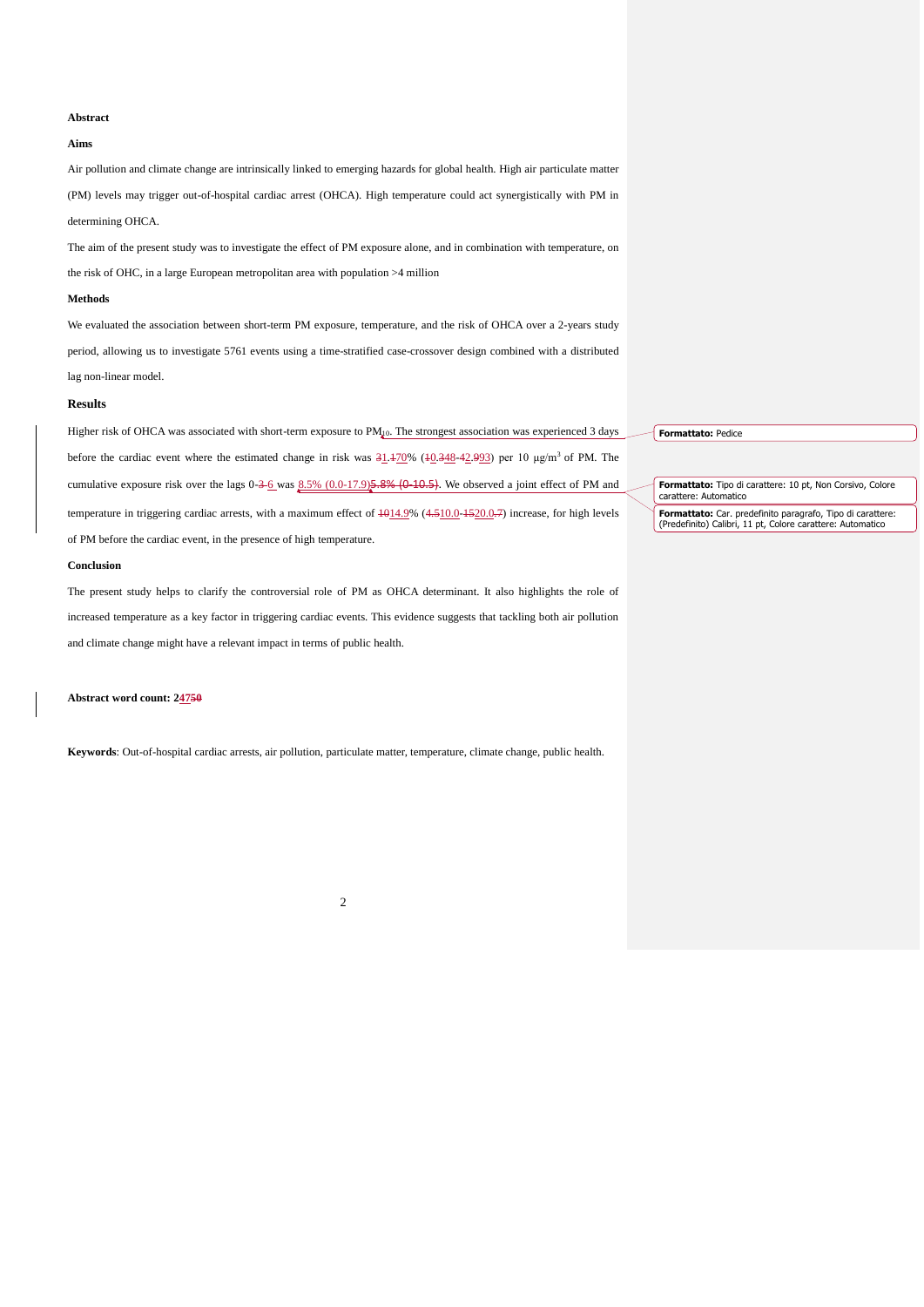## **Abstract**

## **Aims**

Air pollution and climate change are intrinsically linked to emerging hazards for global health. High air particulate matter (PM) levels may trigger out-of-hospital cardiac arrest (OHCA). High temperature could act synergistically with PM in determining OHCA.

The aim of the present study was to investigate the effect of PM exposure alone, and in combination with temperature, on the risk of OHC, in a large European metropolitan area with population >4 million

## **Methods**

We evaluated the association between short-term PM exposure, temperature, and the risk of OHCA over a 2-years study period, allowing us to investigate 5761 events using a time-stratified case-crossover design combined with a distributed lag non-linear model.

#### **Results**

Higher risk of OHCA was associated with short-term exposure to PM<sub>40</sub>. The strongest association was experienced 3 days before the cardiac event where the estimated change in risk was  $31.170\%$  (10.348-42.993) per 10 μg/m<sup>3</sup> of PM. The cumulative exposure risk over the lags  $0.36$  was  $8.5\%$   $(0.0-17.9)$   $5.8\%$   $(0.40-5)$ . We observed a joint effect of PM and temperature in triggering cardiac arrests, with a maximum effect of  $\frac{4014.9\%}{4510.0}$  (4.510.0-1520.0.7) increase, for high levels of PM before the cardiac event, in the presence of high temperature.

#### **Conclusion**

The present study helps to clarify the controversial role of PM as OHCA determinant. It also highlights the role of increased temperature as a key factor in triggering cardiac events. This evidence suggests that tackling both air pollution and climate change might have a relevant impact in terms of public health.

**Abstract word count: 24750**

**Keywords**: Out-of-hospital cardiac arrests, air pollution, particulate matter, temperature, climate change, public health.

2

**Formattato:** Pedice

**Formattato:** Tipo di carattere: 10 pt, Non Corsivo, Colore carattere: Automatico

**Formattato:** Car. predefinito paragrafo, Tipo di carattere: (Predefinito) Calibri, 11 pt, Colore carattere: Automatico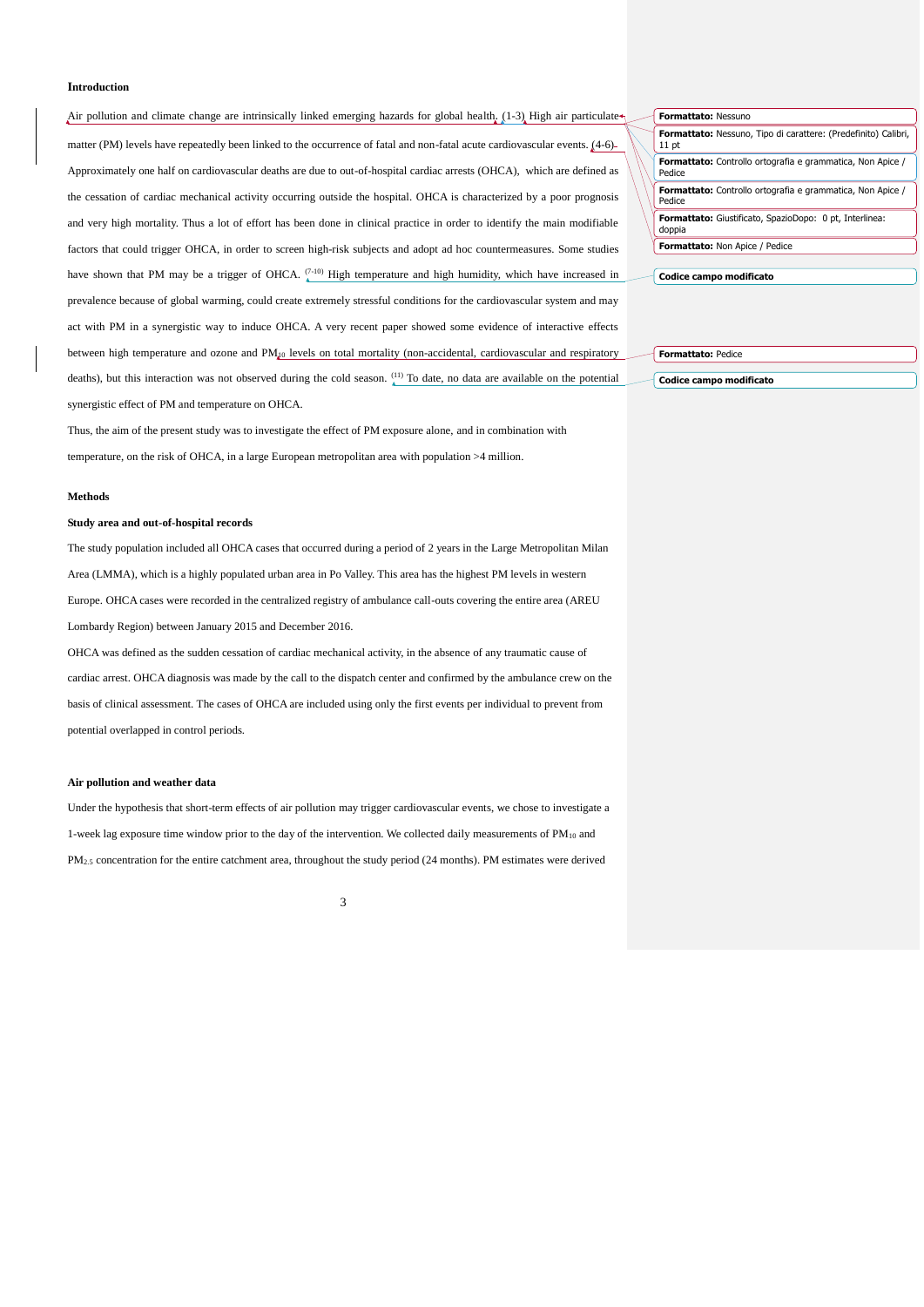## **Introduction**

Air pollution and climate change are intrinsically linked emerging hazards for global health.  $(1-3)$  High air particulate matter (PM) levels have repeatedly been linked to the occurrence of fatal and non-fatal acute cardiovascular events. [\(4-6\)](#page-8-1) Approximately one half on cardiovascular deaths are due to out-of-hospital cardiac arrests (OHCA), which are defined as the cessation of cardiac mechanical activity occurring outside the hospital. OHCA is characterized by a poor prognosis and very high mortality. Thus a lot of effort has been done in clinical practice in order to identify the main modifiable factors that could trigger OHCA, in order to screen high-risk subjects and adopt ad hoc countermeasures. Some studies have shown that PM may be a trigger of OHCA.  $\binom{7-10}{4}$  High temperature and high humidity, which have increased in prevalence because of global warming, could create extremely stressful conditions for the cardiovascular system and may act with PM in a synergistic way to induce OHCA. A very recent paper showed some evidence of interactive effects between high temperature and ozone and PM<sub>40</sub> levels on total mortality (non-accidental, cardiovascular and respiratory deaths), but this interaction was not observed during the cold season. [\(11\)](#page-8-3) To date, no data are available on the potential synergistic effect of PM and temperature on OHCA.

Thus, the aim of the present study was to investigate the effect of PM exposure alone, and in combination with temperature, on the risk of OHCA, in a large European metropolitan area with population >4 million.

## **Methods**

## **Study area and out-of-hospital records**

The study population included all OHCA cases that occurred during a period of 2 years in the Large Metropolitan Milan Area (LMMA), which is a highly populated urban area in Po Valley. This area has the highest PM levels in western Europe. OHCA cases were recorded in the centralized registry of ambulance call-outs covering the entire area (AREU Lombardy Region) between January 2015 and December 2016.

OHCA was defined as the sudden cessation of cardiac mechanical activity, in the absence of any traumatic cause of cardiac arrest. OHCA diagnosis was made by the call to the dispatch center and confirmed by the ambulance crew on the basis of clinical assessment. The cases of OHCA are included using only the first events per individual to prevent from potential overlapped in control periods.

#### **Air pollution and weather data**

Under the hypothesis that short-term effects of air pollution may trigger cardiovascular events, we chose to investigate a 1-week lag exposure time window prior to the day of the intervention. We collected daily measurements of PM<sub>10</sub> and  $PM<sub>2.5</sub>$  concentration for the entire catchment area, throughout the study period (24 months). PM estimates were derived

| Formattato: Nessuno                                                         |
|-----------------------------------------------------------------------------|
| Formattato: Nessuno, Tipo di carattere: (Predefinito) Calibri,<br>$11$ pt   |
| <b>Formattato:</b> Controllo ortografia e grammatica, Non Apice /<br>Pedice |
| <b>Formattato:</b> Controllo ortografia e grammatica, Non Apice /<br>Pedice |
| Formattato: Giustificato, SpazioDopo: 0 pt, Interlinea:<br>doppia           |
| Formattato: Non Apice / Pedice                                              |
|                                                                             |
| Codice campo modificato                                                     |

| <b>Formattato: Pedice</b> |
|---------------------------|
|                           |
| Codice campo modificato   |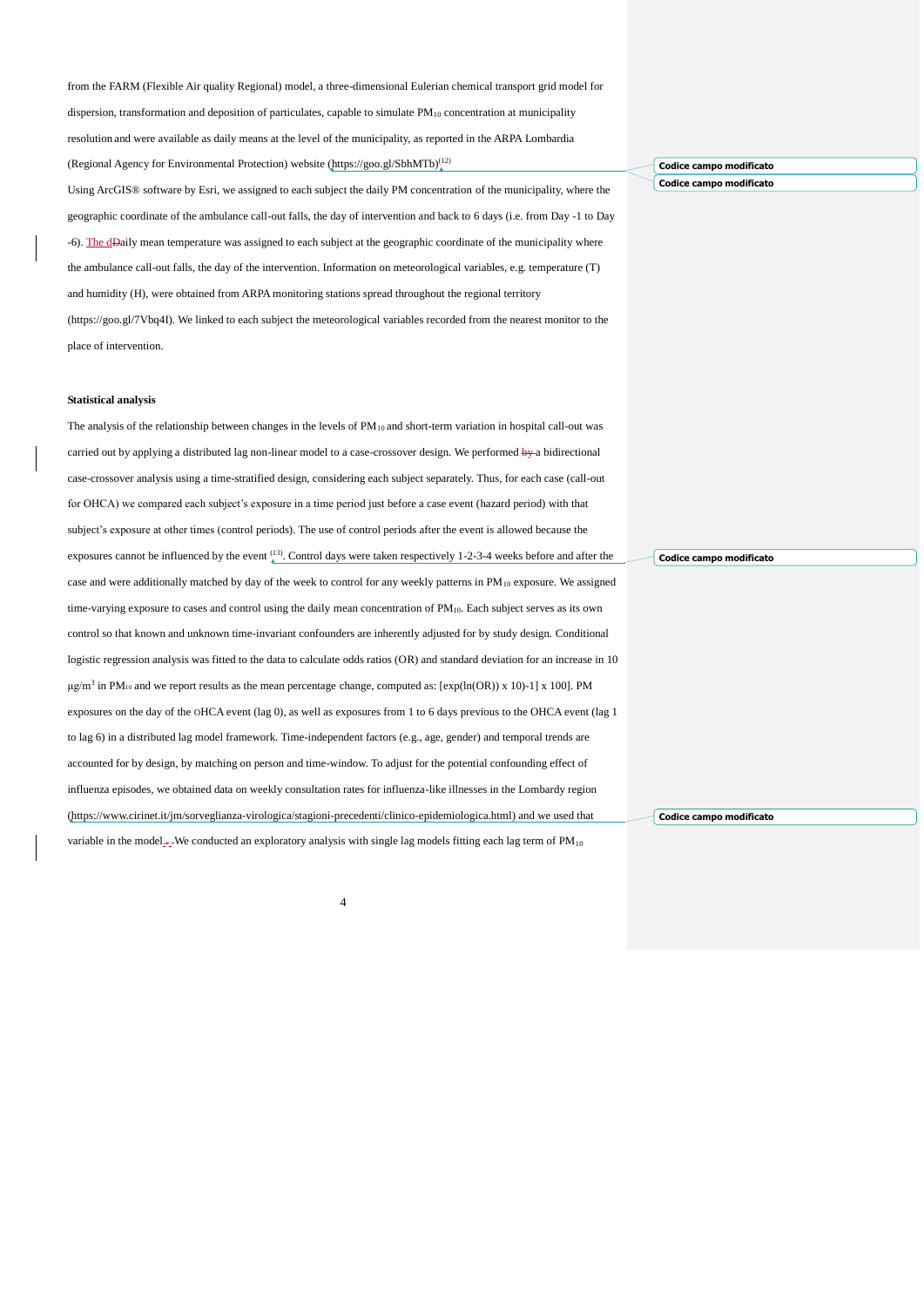from the FARM (Flexible Air quality Regional) model, a three-dimensional Eulerian chemical transport grid model for

dispersion, transformation and deposition of particulates, capable to simulate  $PM_{10}$  concentration at municipality resolution and were available as daily means at the level of the municipality, as reported in the ARPA Lombardia (Regional Agency for Environmental Protection) website [\(https://goo.gl/SbhMTb\)](https://goo.gl/SbhMTb) [\(12\)](#page-8-4)

Using ArcGIS® software by Esri, we assigned to each subject the daily PM concentration of the municipality, where the geographic coordinate of the ambulance call-out falls, the day of intervention and back to 6 days (i.e. from Day -1 to Day -6). The dDaily mean temperature was assigned to each subject at the geographic coordinate of the municipality where the ambulance call-out falls, the day of the intervention. Information on meteorological variables, e.g. temperature  $(T)$ and humidity (H), were obtained from ARPA monitoring stations spread throughout the regional territory (https://goo.gl/7Vbq4I). We linked to each subject the meteorological variables recorded from the nearest monitor to the place of intervention.

## **Statistical analysis**

The analysis of the relationship between changes in the levels of  $PM_{10}$  and short-term variation in hospital call-out was carried out by applying a distributed lag non-linear model to a case-crossover design. We performed by-a bidirectional case-crossover analysis using a time-stratified design, considering each subject separately. Thus, for each case (call-out for OHCA) we compared each subject's exposure in a time period just before a case event (hazard period) with that subject's exposure at other times (control periods). The use of control periods after the event is allowed because the exposures cannot be influenced by the event  $\binom{13}{4}$ . Control days were taken respectively 1-2-3-4 weeks before and after the case and were additionally matched by day of the week to control for any weekly patterns in PM<sub>10</sub> exposure. We assigned time-varying exposure to cases and control using the daily mean concentration of PM<sub>10</sub>. Each subject serves as its own control so that known and unknown time-invariant confounders are inherently adjusted for by study design. Conditional logistic regression analysis was fitted to the data to calculate odds ratios (OR) and standard deviation for an increase in 10  $\mu$ g/m<sup>3</sup> in PM<sub>10</sub> and we report results as the mean percentage change, computed as: [exp(ln(OR)) x 10)-1] x 100]. PM exposures on the day of the OHCA event (lag 0), as well as exposures from 1 to 6 days previous to the OHCA event (lag 1 to lag 6) in a distributed lag model framework. Time-independent factors (e.g., age, gender) and temporal trends are accounted for by design, by matching on person and time-window. To adjust for the potential confounding effect of influenza episodes, we obtained data on weekly consultation rates for influenza-like illnesses in the Lombardy region [\(https://www.cirinet.it/jm/sorveglianza-virologica/stagioni-precedenti/clinico-epidemiologica.html\)](https://www.cirinet.it/jm/sorveglianza-virologica/stagioni-precedenti/clinico-epidemiologica.html) and we used that variable in the model... We conducted an exploratory analysis with single lag models fitting each lag term of  $PM_{10}$ 

**Codice campo modificato Codice campo modificato**

**Codice campo modificato**

**Codice campo modificato**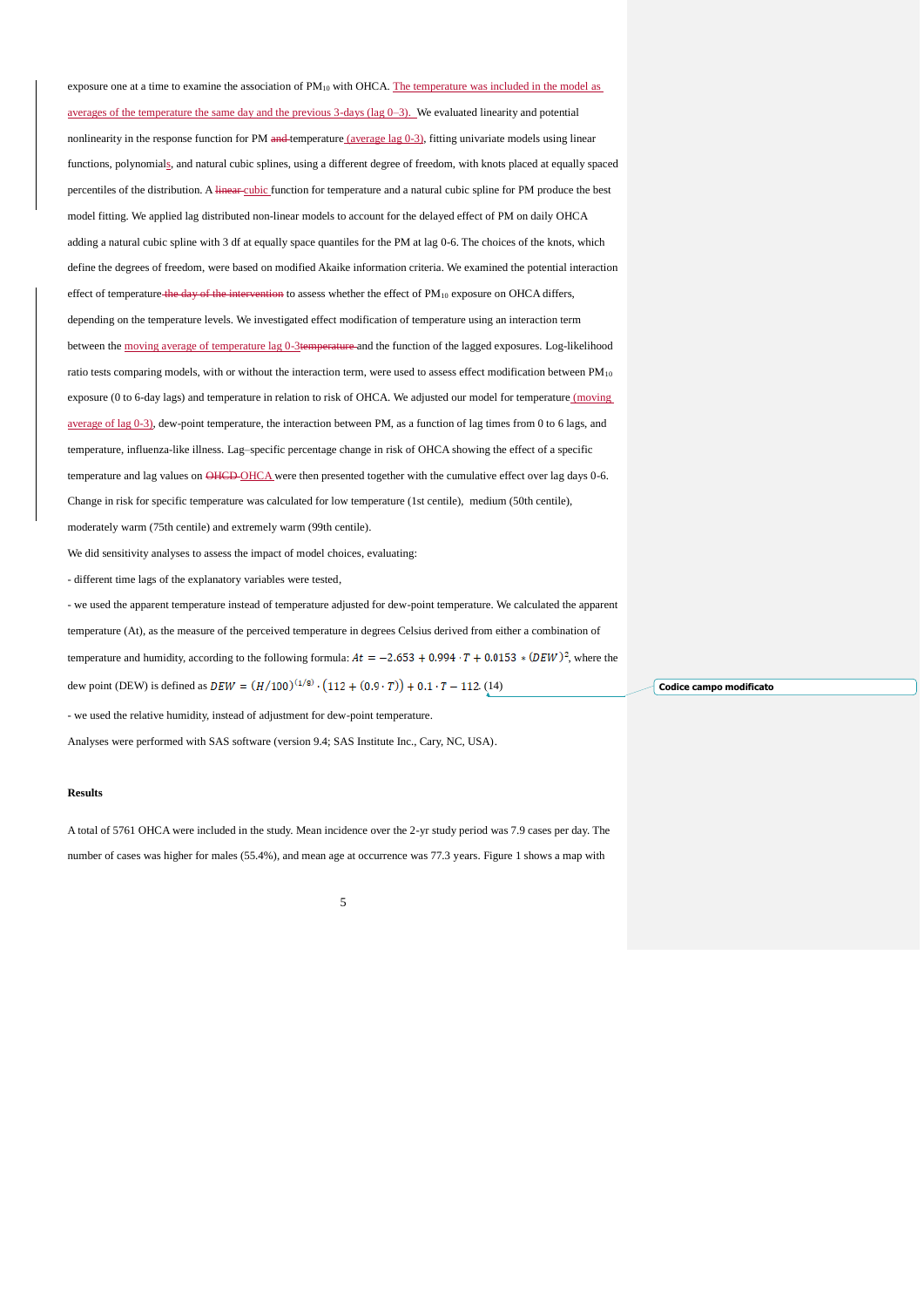exposure one at a time to examine the association of  $PM_{10}$  with OHCA. The temperature was included in the model as averages of the temperature the same day and the previous 3-days (lag  $(0-3)$ ). We evaluated linearity and potential nonlinearity in the response function for PM and temperature (average lag 0-3), fitting univariate models using linear functions, polynomials, and natural cubic splines, using a different degree of freedom, with knots placed at equally spaced percentiles of the distribution. A linear cubic function for temperature and a natural cubic spline for PM produce the best model fitting. We applied lag distributed non-linear models to account for the delayed effect of PM on daily OHCA adding a natural cubic spline with 3 df at equally space quantiles for the PM at lag 0-6. The choices of the knots, which define the degrees of freedom, were based on modified Akaike information criteria. We examined the potential interaction effect of temperature the day of the intervention to assess whether the effect of PM<sub>10</sub> exposure on OHCA differs, depending on the temperature levels. We investigated effect modification of temperature using an interaction term between the moving average of temperature lag 0-3temperature and the function of the lagged exposures. Log-likelihood ratio tests comparing models, with or without the interaction term, were used to assess effect modification between PM<sub>10</sub> exposure (0 to 6-day lags) and temperature in relation to risk of OHCA. We adjusted our model for temperature (moving average of lag 0-3), dew-point temperature, the interaction between PM, as a function of lag times from 0 to 6 lags, and temperature, influenza-like illness. Lag–specific percentage change in risk of OHCA showing the effect of a specific temperature and lag values on OHCD-OHCA were then presented together with the cumulative effect over lag days 0-6. Change in risk for specific temperature was calculated for low temperature (1st centile), medium (50th centile), moderately warm (75th centile) and extremely warm (99th centile).

We did sensitivity analyses to assess the impact of model choices, evaluating:

- different time lags of the explanatory variables were tested,

- we used the apparent temperature instead of temperature adjusted for dew-point temperature. We calculated the apparent

temperature (At), as the measure of the perceived temperature in degrees Celsius derived from either a combination of

temperature and humidity, according to the following formula:  $At = -2.653 + 0.994 \cdot T + 0.0153 * (DEW)^2$ , where the

dew point (DEW) is defined as  $DEW = (H/100)^{(1/8)} \cdot (112 + (0.9 \cdot T)) + 0.1 \cdot T - 112$ . [\(14\)](#page-8-6)

- we used the relative humidity, instead of adjustment for dew-point temperature.

Analyses were performed with SAS software (version 9.4; SAS Institute Inc., Cary, NC, USA).

## **Results**

A total of 5761 OHCA were included in the study. Mean incidence over the 2-yr study period was 7.9 cases per day. The number of cases was higher for males (55.4%), and mean age at occurrence was 77.3 years. Figure 1 shows a map with

5

**Codice campo modificato**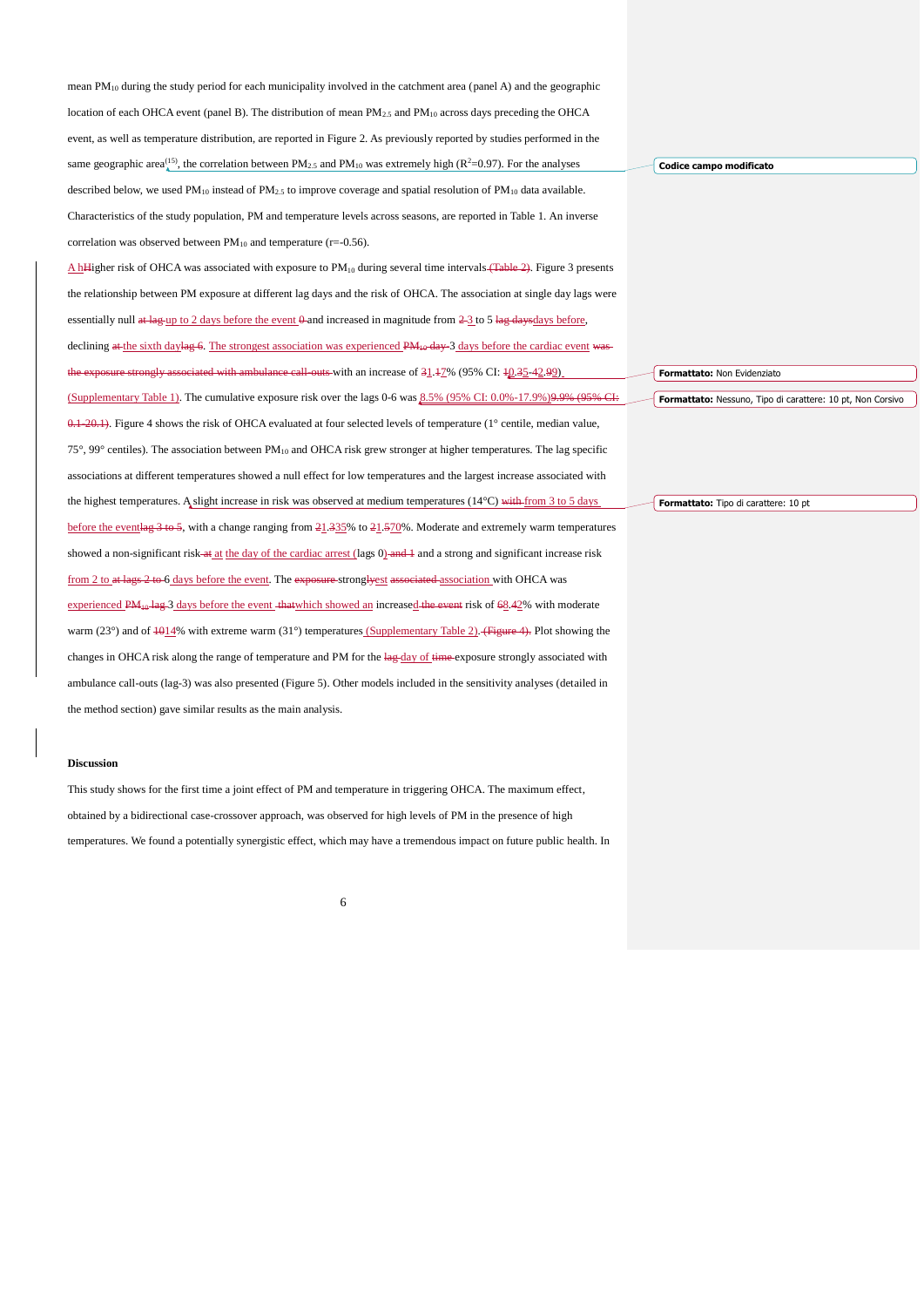| mean $PM_{10}$ during the study period for each municipality involved in the catchment area (panel A) and the geographic                                          |                                                            |
|-------------------------------------------------------------------------------------------------------------------------------------------------------------------|------------------------------------------------------------|
| location of each OHCA event (panel B). The distribution of mean $PM_{2,5}$ and $PM_{10}$ across days preceding the OHCA                                           |                                                            |
| event, as well as temperature distribution, are reported in Figure 2. As previously reported by studies performed in the                                          |                                                            |
| same geographic area <sup>(15)</sup> , the correlation between PM <sub>2.5</sub> and PM <sub>10</sub> was extremely high (R <sup>2</sup> =0.97). For the analyses | Codice campo modificato                                    |
| described below, we used $PM_{10}$ instead of $PM_{2.5}$ to improve coverage and spatial resolution of $PM_{10}$ data available.                                  |                                                            |
| Characteristics of the study population, PM and temperature levels across seasons, are reported in Table 1. An inverse                                            |                                                            |
| correlation was observed between $PM_{10}$ and temperature (r=-0.56).                                                                                             |                                                            |
| A hHigher risk of OHCA was associated with exposure to PM <sub>10</sub> during several time intervals (Table 2). Figure 3 presents                                |                                                            |
| the relationship between PM exposure at different lag days and the risk of OHCA. The association at single day lags were                                          |                                                            |
| essentially null at lag-up to 2 days before the event $\theta$ -and increased in magnitude from $2\frac{3}{2}$ to 5 lag-days days before,                         |                                                            |
| declining at the sixth daylag 6. The strongest association was experienced $PM_{10}$ day-3 days before the cardiac event was                                      |                                                            |
| the exposure strongly associated with ambulance call-outs with an increase of $31.47\%$ (95% CI: $40.35-42.99$ )                                                  | Formattato: Non Evidenziato                                |
| (Supplementary Table 1). The cumulative exposure risk over the lags 0-6 was $8.5\%$ (95% CI: 0.0%-17.9%)9.9% (95% CI:                                             | Formattato: Nessuno, Tipo di carattere: 10 pt, Non Corsivo |
| $0.1-20.1$ ). Figure 4 shows the risk of OHCA evaluated at four selected levels of temperature (1 $^{\circ}$ centile, median value,                               |                                                            |
| $75^{\circ}$ , 99° centiles). The association between PM <sub>10</sub> and OHCA risk grew stronger at higher temperatures. The lag specific                       |                                                            |
| associations at different temperatures showed a null effect for low temperatures and the largest increase associated with                                         |                                                            |
| the highest temperatures. A slight increase in risk was observed at medium temperatures $(14^{\circ}C)$ with from 3 to 5 days                                     | Formattato: Tipo di carattere: 10 pt                       |
| before the eventlag $3$ to 5, with a change ranging from 21.335% to 21.570%. Moderate and extremely warm temperatures                                             |                                                            |
| showed a non-significant risk at at the day of the cardiac arrest (lags 0) and 4 and a strong and significant increase risk                                       |                                                            |
| from 2 to at lags 2 to 6 days before the event. The exposure-strongly est associated association with OHCA was                                                    |                                                            |
| experienced PM <sub>10</sub> -lag-3 days before the event -that which showed an increased the event risk of 68.42% with moderate                                  |                                                            |
| warm (23°) and of $\frac{101}{9}$ with extreme warm (31°) temperatures (Supplementary Table 2). (Figure 4). Plot showing the                                      |                                                            |
| changes in OHCA risk along the range of temperature and PM for the lag-day of time-exposure strongly associated with                                              |                                                            |
| ambulance call-outs (lag-3) was also presented (Figure 5). Other models included in the sensitivity analyses (detailed in                                         |                                                            |
| the method section) gave similar results as the main analysis.                                                                                                    |                                                            |

## **Discussion**

This study shows for the first time a joint effect of PM and temperature in triggering OHCA. The maximum effect, obtained by a bidirectional case-crossover approach, was observed for high levels of PM in the presence of high temperatures. We found a potentially synergistic effect, which may have a tremendous impact on future public health. In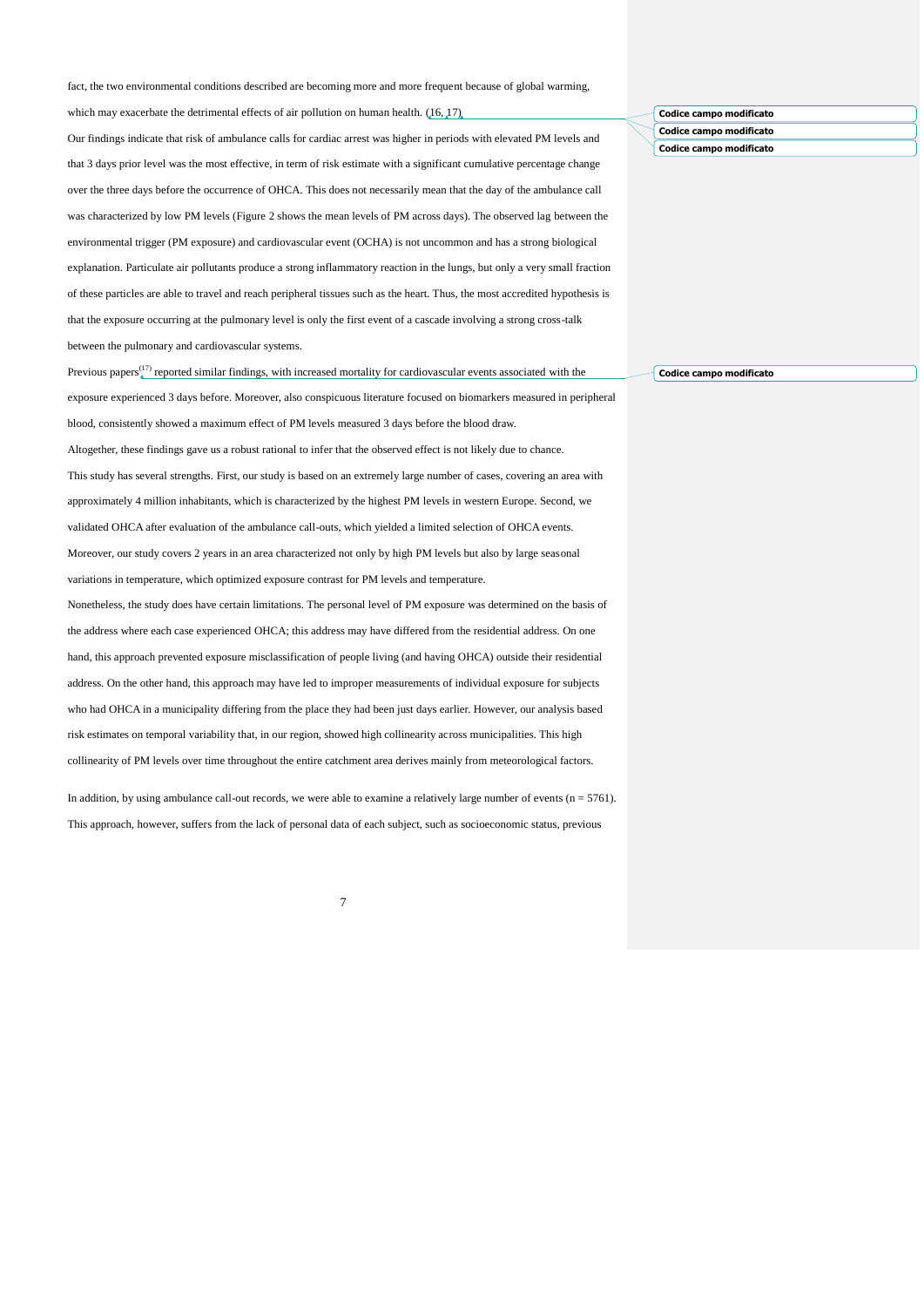fact, the two environmental conditions described are becoming more and more frequent because of global warming,

which may exacerbate the detrimental effects of air pollution on human health.  $(16, 17)$  $(16, 17)$ 

Our findings indicate that risk of ambulance calls for cardiac arrest was higher in periods with elevated PM levels and that 3 days prior level was the most effective, in term of risk estimate with a significant cumulative percentage change over the three days before the occurrence of OHCA. This does not necessarily mean that the day of the ambulance call was characterized by low PM levels (Figure 2 shows the mean levels of PM across days). The observed lag between the environmental trigger (PM exposure) and cardiovascular event (OCHA) is not uncommon and has a strong biological explanation. Particulate air pollutants produce a strong inflammatory reaction in the lungs, but only a very small fraction of these particles are able to travel and reach peripheral tissues such as the heart. Thus, the most accredited hypothesis is that the exposure occurring at the pulmonary level is only the first event of a cascade involving a strong cross-talk between the pulmonary and cardiovascular systems.

Previous papers $\binom{17}{4}$  reported similar findings, with increased mortality for cardiovascular events associated with the exposure experienced 3 days before. Moreover, also conspicuous literature focused on biomarkers measured in peripheral blood, consistently showed a maximum effect of PM levels measured 3 days before the blood draw.

Altogether, these findings gave us a robust rational to infer that the observed effect is not likely due to chance. This study has several strengths. First, our study is based on an extremely large number of cases, covering an area with approximately 4 million inhabitants, which is characterized by the highest PM levels in western Europe. Second, we validated OHCA after evaluation of the ambulance call-outs, which yielded a limited selection of OHCA events. Moreover, our study covers 2 years in an area characterized not only by high PM levels but also by large seasonal variations in temperature, which optimized exposure contrast for PM levels and temperature.

Nonetheless, the study does have certain limitations. The personal level of PM exposure was determined on the basis of the address where each case experienced OHCA; this address may have differed from the residential address. On one hand, this approach prevented exposure misclassification of people living (and having OHCA) outside their residential address. On the other hand, this approach may have led to improper measurements of individual exposure for subjects who had OHCA in a municipality differing from the place they had been just days earlier. However, our analysis based risk estimates on temporal variability that, in our region, showed high collinearity across municipalities. This high collinearity of PM levels over time throughout the entire catchment area derives mainly from meteorological factors.

In addition, by using ambulance call-out records, we were able to examine a relatively large number of events  $(n = 5761)$ . This approach, however, suffers from the lack of personal data of each subject, such as socioeconomic status, previous

7

# **Codice campo modificato Codice campo modificato Codice campo modificato**

**Codice campo modificato**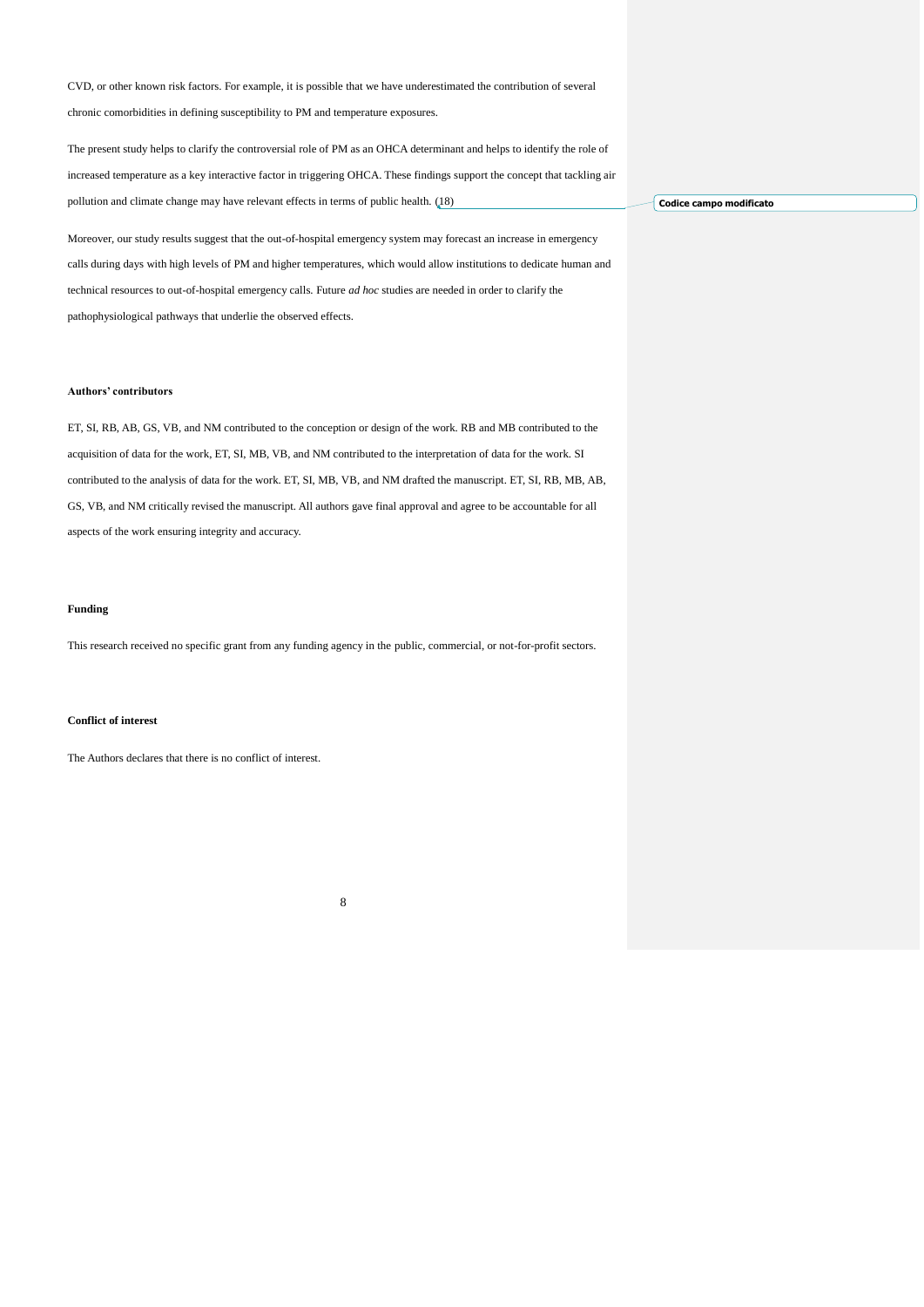CVD, or other known risk factors. For example, it is possible that we have underestimated the contribution of several chronic comorbidities in defining susceptibility to PM and temperature exposures.

The present study helps to clarify the controversial role of PM as an OHCA determinant and helps to identify the role of increased temperature as a key interactive factor in triggering OHCA. These findings support the concept that tackling air pollution and climate change may have relevant effects in terms of public health. [\(18\)](#page-8-10)

Moreover, our study results suggest that the out-of-hospital emergency system may forecast an increase in emergency calls during days with high levels of PM and higher temperatures, which would allow institutions to dedicate human and technical resources to out-of-hospital emergency calls. Future *ad hoc* studies are needed in order to clarify the pathophysiological pathways that underlie the observed effects.

#### **Authors' contributors**

ET, SI, RB, AB, GS, VB, and NM contributed to the conception or design of the work. RB and MB contributed to the acquisition of data for the work, ET, SI, MB, VB, and NM contributed to the interpretation of data for the work. SI contributed to the analysis of data for the work. ET, SI, MB, VB, and NM drafted the manuscript. ET, SI, RB, MB, AB, GS, VB, and NM critically revised the manuscript. All authors gave final approval and agree to be accountable for all aspects of the work ensuring integrity and accuracy.

## **Funding**

This research received no specific grant from any funding agency in the public, commercial, or not-for-profit sectors.

8

## **Conflict of interest**

The Authors declares that there is no conflict of interest.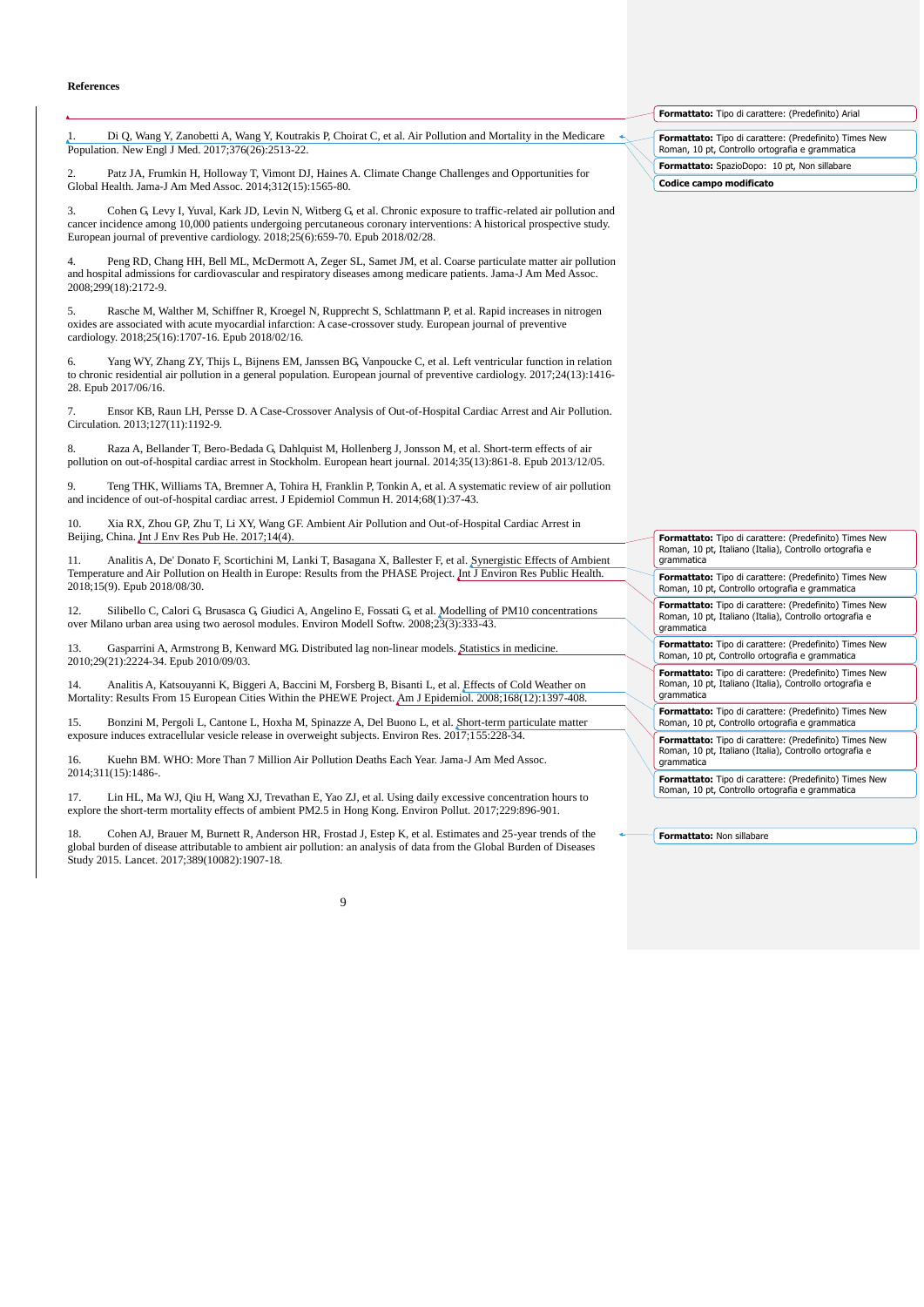#### **References**

<span id="page-8-0"></span>1. Di Q, Wang Y, Zanobetti A, Wang Y, Koutrakis P, Choirat C, et al. Air Pollution and Mortality in the Medicare Population. New Engl J Med. 2017;376(26):2513-22.

2. Patz JA, Frumkin H, Holloway T, Vimont DJ, Haines A. Climate Change Challenges and Opportunities for Global Health. Jama-J Am Med Assoc. 2014;312(15):1565-80.

3. Cohen G, Levy I, Yuval, Kark JD, Levin N, Witberg G, et al. Chronic exposure to traffic-related air pollution and cancer incidence among 10,000 patients undergoing percutaneous coronary interventions: A historical prospective study. European journal of preventive cardiology. 2018;25(6):659-70. Epub 2018/02/28.

<span id="page-8-1"></span>4. Peng RD, Chang HH, Bell ML, McDermott A, Zeger SL, Samet JM, et al. Coarse particulate matter air pollution and hospital admissions for cardiovascular and respiratory diseases among medicare patients. Jama-J Am Med Assoc. 2008;299(18):2172-9.

5. Rasche M, Walther M, Schiffner R, Kroegel N, Rupprecht S, Schlattmann P, et al. Rapid increases in nitrogen oxides are associated with acute myocardial infarction: A case-crossover study. European journal of preventive cardiology. 2018;25(16):1707-16. Epub 2018/02/16.

6. Yang WY, Zhang ZY, Thijs L, Bijnens EM, Janssen BG, Vanpoucke C, et al. Left ventricular function in relation to chronic residential air pollution in a general population. European journal of preventive cardiology. 2017;24(13):1416- 28. Epub 2017/06/16.

<span id="page-8-2"></span>7. Ensor KB, Raun LH, Persse D. A Case-Crossover Analysis of Out-of-Hospital Cardiac Arrest and Air Pollution. Circulation. 2013;127(11):1192-9.

8. Raza A, Bellander T, Bero-Bedada G, Dahlquist M, Hollenberg J, Jonsson M, et al. Short-term effects of air pollution on out-of-hospital cardiac arrest in Stockholm. European heart journal. 2014;35(13):861-8. Epub 2013/12/05.

9. Teng THK, Williams TA, Bremner A, Tohira H, Franklin P, Tonkin A, et al. A systematic review of air pollution and incidence of out-of-hospital cardiac arrest. J Epidemiol Commun H. 2014;68(1):37-43.

10. Xia RX, Zhou GP, Zhu T, Li XY, Wang GF. Ambient Air Pollution and Out-of-Hospital Cardiac Arrest in Beijing, China. Int J Env Res Pub He. 2017;14(4).

<span id="page-8-3"></span>11. Analitis A, De' Donato F, Scortichini M, Lanki T, Basagana X, Ballester F, et al. Synergistic Effects of Ambient Temperature and Air Pollution on Health in Europe: Results from the PHASE Project. Int J Environ Res Public Health. 2018;15(9). Epub 2018/08/30.

<span id="page-8-4"></span>12. Silibello C, Calori G, Brusasca G, Giudici A, Angelino E, Fossati G, et al. Modelling of PM10 concentrations over Milano urban area using two aerosol modules. Environ Modell Softw. 2008;23(3):333-43.

<span id="page-8-5"></span>13. Gasparrini A, Armstrong B, Kenward MG. Distributed lag non-linear models. Statistics in medicine. 2010;29(21):2224-34. Epub 2010/09/03.

<span id="page-8-6"></span>14. Analitis A, Katsouyanni K, Biggeri A, Baccini M, Forsberg B, Bisanti L, et al. Effects of Cold Weather on Mortality: Results From 15 European Cities Within the PHEWE Project. Am J Epidemiol. 2008;168(12):1397-408.

<span id="page-8-7"></span>15. Bonzini M, Pergoli L, Cantone L, Hoxha M, Spinazze A, Del Buono L, et al. Short-term particulate matter exposure induces extracellular vesicle release in overweight subjects. Environ Res. 2017;155:228-34.

<span id="page-8-8"></span>16. Kuehn BM. WHO: More Than 7 Million Air Pollution Deaths Each Year. Jama-J Am Med Assoc. 2014;311(15):1486-.

<span id="page-8-9"></span>Lin HL, Ma WJ, Qiu H, Wang XJ, Trevathan E, Yao ZJ, et al. Using daily excessive concentration hours to explore the short-term mortality effects of ambient PM2.5 in Hong Kong. Environ Pollut. 2017;229:896-901.

<span id="page-8-10"></span>Cohen AJ, Brauer M, Burnett R, Anderson HR, Frostad J, Estep K, et al. Estimates and 25-year trends of the global burden of disease attributable to ambient air pollution: an analysis of data from the Global Burden of Diseases Study 2015. Lancet. 2017;389(10082):1907-18.

**Formattato:** Tipo di carattere: (Predefinito) Arial

**Formattato:** Tipo di carattere: (Predefinito) Times New Roman, 10 pt, Controllo ortografia e grammatica

**Formattato:** SpazioDopo: 10 pt, Non sillabare

**Codice campo modificato**

**Formattato:** Tipo di carattere: (Predefinito) Times New Roman, 10 pt, Italiano (Italia), Controllo ortografia e grammatica **Formattato:** Tipo di carattere: (Predefinito) Times New Roman, 10 pt, Controllo ortografia e grammatica

**Formattato:** Tipo di carattere: (Predefinito) Times New Roman, 10 pt, Italiano (Italia), Controllo ortografia e grammatica

**Formattato:** Tipo di carattere: (Predefinito) Times New Roman, 10 pt, Controllo ortografia e grammatica

**Formattato:** Tipo di carattere: (Predefinito) Times New Roman, 10 pt, Italiano (Italia), Controllo ortografia e grammatica

**Formattato:** Tipo di carattere: (Predefinito) Times New Roman, 10 pt, Controllo ortografia e grammatica

**Formattato:** Tipo di carattere: (Predefinito) Times New Roman, 10 pt, Italiano (Italia), Controllo ortografia e grammatica

**Formattato:** Tipo di carattere: (Predefinito) Times New Roman, 10 pt, Controllo ortografia e grammatica

**Formattato:** Non sillabare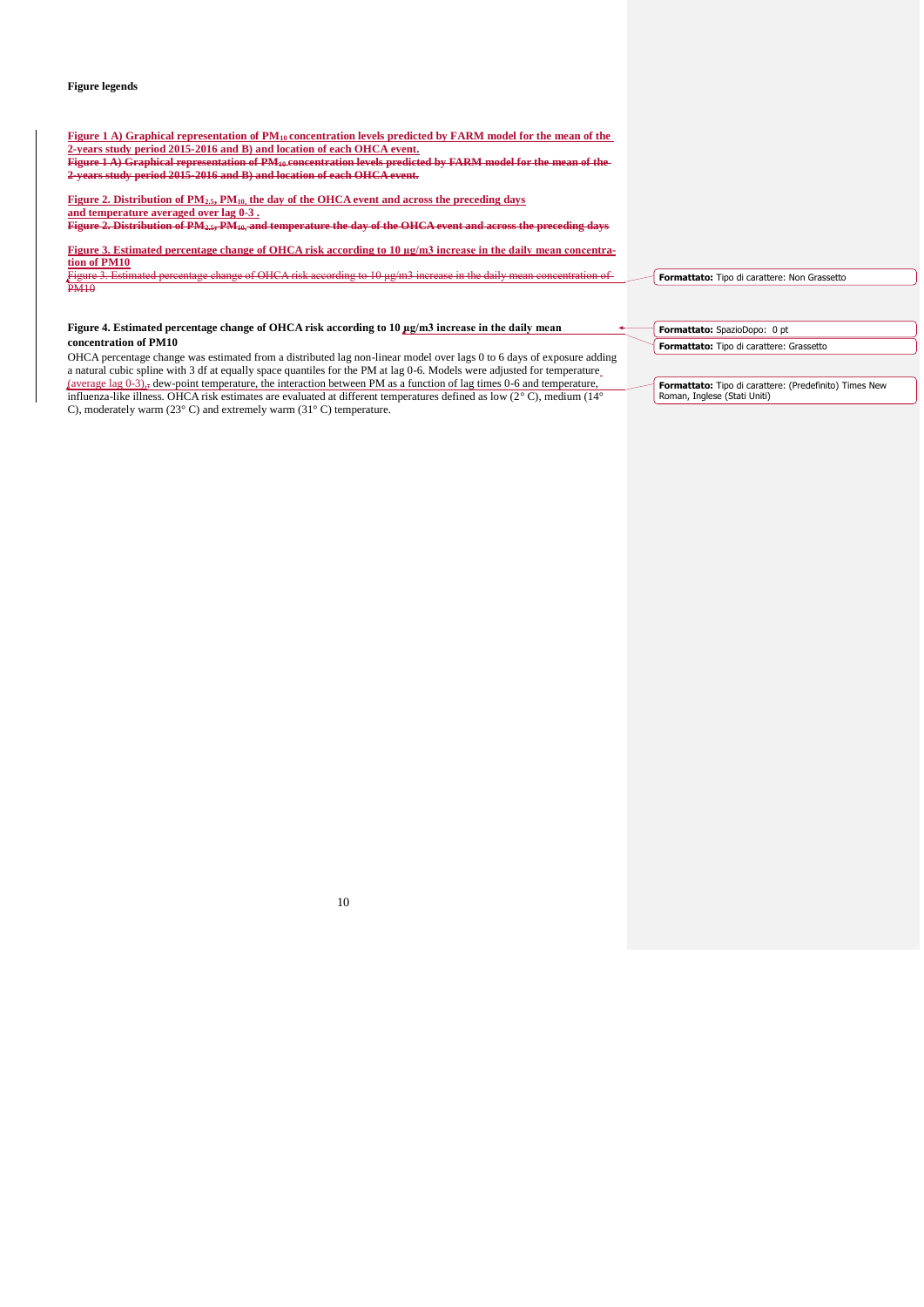## **Figure legends**

| Figure 1 A) Graphical representation of $PM_{10}$ concentration levels predicted by FARM model for the mean of the<br>2-years study period 2015-2016 and B) and location of each OHCA event.<br>Figure 1 A) Graphical representation of PM <sub>10</sub> concentration levels predicted by FARM model for the mean of the<br>2-years study period 2015-2016 and B) and location of each OHCA event. |                                                                          |
|-----------------------------------------------------------------------------------------------------------------------------------------------------------------------------------------------------------------------------------------------------------------------------------------------------------------------------------------------------------------------------------------------------|--------------------------------------------------------------------------|
| Figure 2. Distribution of $PM_{2.5}$ , $PM_{10}$ , the day of the OHCA event and across the preceding days<br>and temperature averaged over lag 0-3.<br>Figure 2. Distribution of PM <sub>2.5</sub> , PM <sub>10</sub> , and temperature the day of the OHCA event and across the preceding days                                                                                                    |                                                                          |
| Figure 3. Estimated percentage change of OHCA risk according to 10 ug/m3 increase in the daily mean concentra-<br>tion of PM10<br>Figure 3. Estimated percentage change of OHCA risk according to 10 µg/m3 increase in the daily mean concentration of<br><b>PM10</b>                                                                                                                               | Formattato: Tipo di carattere: Non Grassetto                             |
| Figure 4. Estimated percentage change of OHCA risk according to 10 µg/m3 increase in the daily mean<br>concentration of PM10                                                                                                                                                                                                                                                                        | Formattato: SpazioDopo: 0 pt<br>Formattato: Tipo di carattere: Grassetto |

OHCA percentage change was estimated from a distributed lag non-linear model over lags 0 to 6 days of exposure adding a natural cubic spline with 3 df at equally space quantiles for the PM at lag 0-6. Models were adjusted for temperature (average lag  $0-3$ ),, dew-point temperature, the interaction between PM as a function of lag times 0-6 and temperature, influenza-like illness. OHCA risk estimates are evaluated at different temperatures defined as low (2° C), medium (14° C), moderately warm (23° C) and extremely warm (31° C) temperature.

**Formattato:** Tipo di carattere: (Predefinito) Times New Roman, Inglese (Stati Uniti)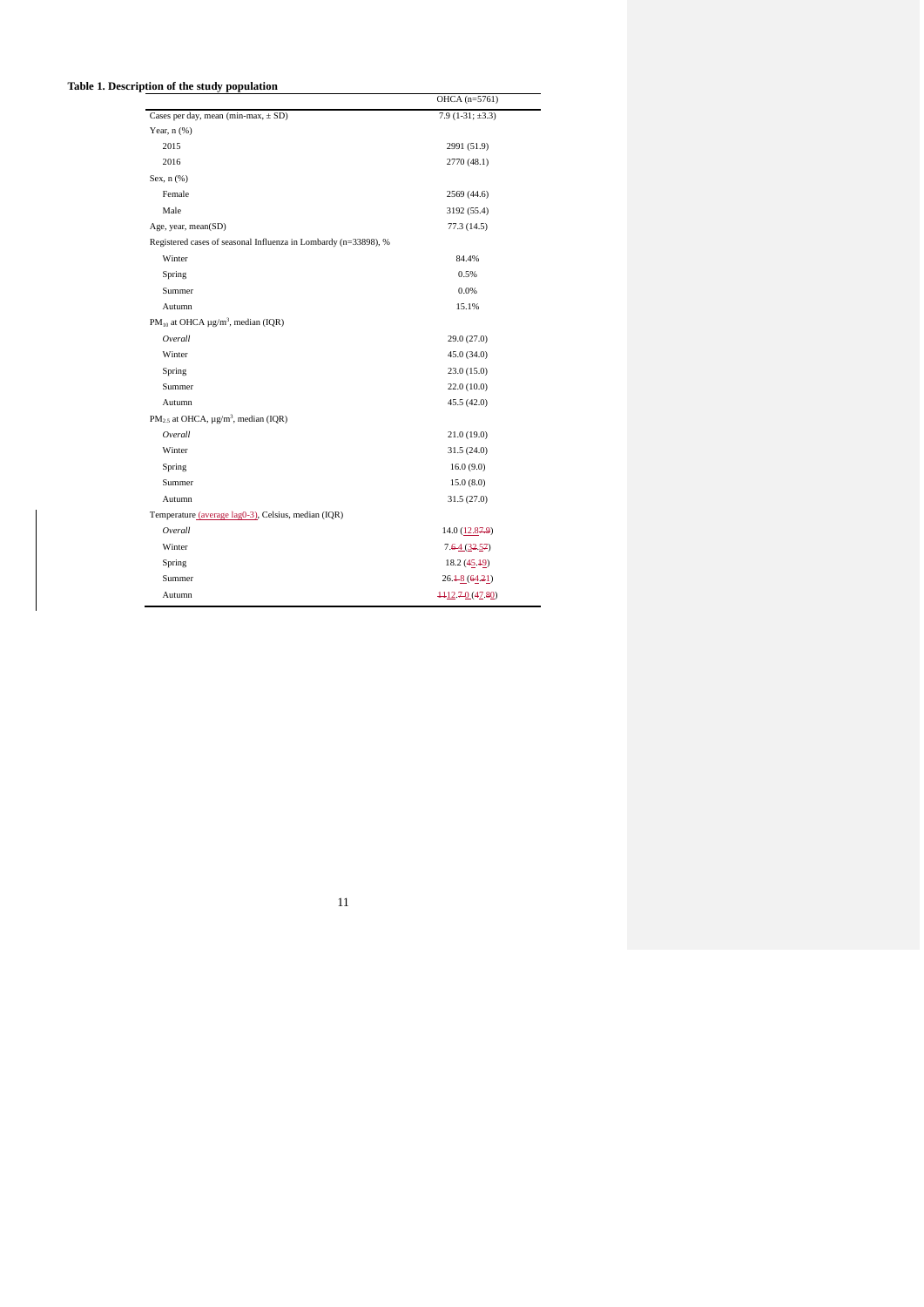| Table 1. Description of the study population                    |                                           |
|-----------------------------------------------------------------|-------------------------------------------|
|                                                                 | OHCA (n=5761)                             |
| Cases per day, mean (min-max, $\pm$ SD)                         | $7.9(1-31; \pm 3.3)$                      |
| Year, $n$ $(\%)$                                                |                                           |
| 2015                                                            | 2991 (51.9)                               |
| 2016                                                            | 2770 (48.1)                               |
| Sex, $n$ $(\%)$                                                 |                                           |
| Female                                                          | 2569 (44.6)                               |
| Male                                                            | 3192 (55.4)                               |
| Age, year, mean(SD)                                             | 77.3 (14.5)                               |
| Registered cases of seasonal Influenza in Lombardy (n=33898), % |                                           |
| Winter                                                          | 84.4%                                     |
| Spring                                                          | 0.5%                                      |
| Summer                                                          | 0.0%                                      |
| Autumn                                                          | 15.1%                                     |
| $PM_{10}$ at OHCA $\mu$ g/m <sup>3</sup> , median (IQR)         |                                           |
| Overall                                                         | 29.0(27.0)                                |
| Winter                                                          | 45.0(34.0)                                |
| Spring                                                          | 23.0(15.0)                                |
| Summer                                                          | 22.0(10.0)                                |
| Autumn                                                          | 45.5(42.0)                                |
| $PM_{2.5}$ at OHCA, $\mu$ g/m <sup>3</sup> , median (IQR)       |                                           |
| Overall                                                         | 21.0(19.0)                                |
| Winter                                                          | 31.5(24.0)                                |
| Spring                                                          | 16.0(9.0)                                 |
| Summer                                                          | 15.0(8.0)                                 |
| Autumn                                                          | 31.5(27.0)                                |
| Temperature (average lag0-3), Celsius, median (IQR)             |                                           |
| Overall                                                         | $14.0 \left( \underline{12.87.9} \right)$ |
| Winter                                                          | 7.64(32.57)                               |
| Spring                                                          | 18.2 (45.49)                              |
| Summer                                                          | $26.4 - 8(64.21)$                         |
| Autumn                                                          | $+12.70(47.80)$                           |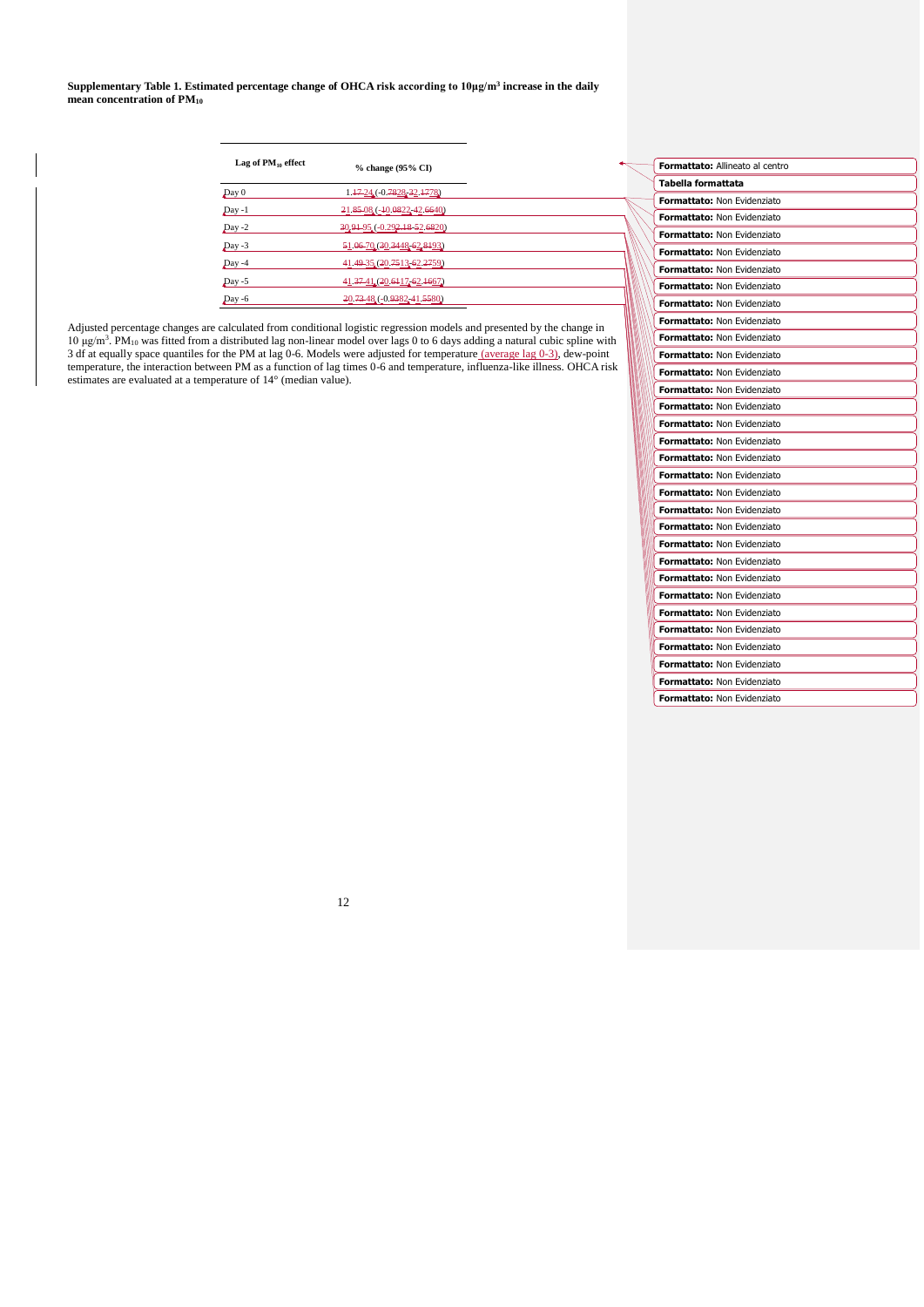**Supplementary Table 1. Estimated percentage change of OHCA risk according to 10μg/m<sup>3</sup> increase in the daily mean concentration of PM<sup>10</sup>**

| Lag of $PM_{10}$ effect | % change (95% CI)             |  |
|-------------------------|-------------------------------|--|
| Day 0                   | 1.47-24 (-0.7828-32.4778)     |  |
| $Day -1$                | 21.85-08 (-40.0822, 42.6640)  |  |
| $Day -2$                | 30.91-95 (-0.292.18-52.6820)  |  |
| $Day -3$                | 51.06-70. (30.3448, 62, 8193) |  |
| $Day -4$                | 41.49 35 (20.7513 62.2759)    |  |
| $Day -5$                | 41.37-41. (20.6117. 62.1667.) |  |
| Dav -6                  | 20.73.48 (-0.9382, 41.5580)   |  |

Adjusted percentage changes are calculated from conditional logistic regression models and presented by the change in<br>10  $\mu$ g/m<sup>3</sup>. PM<sub>10</sub> was fitted from a distributed lag non-linear model over lags 0 to 6 days adding a 3 df at equally space quantiles for the PM at lag 0-6. Models were adjusted for temperature (average lag 0-3), dew-point temperature, the interaction between PM as a function of lag times 0-6 and temperature, influenza-like illness. OHCA risk estimates are evaluated at a temperature of 14° (median value).

| <b>Formattato:</b> Allineato al centro |  |
|----------------------------------------|--|
| Tabella formattata                     |  |
| <b>Formattato: Non Evidenziato</b>     |  |
| <b>Formattato: Non Evidenziato</b>     |  |
| <b>Formattato: Non Evidenziato</b>     |  |
| <b>Formattato: Non Evidenziato</b>     |  |
| Formattato: Non Evidenziato            |  |
| Formattato: Non Evidenziato            |  |
| <b>Formattato: Non Evidenziato</b>     |  |
| <b>Formattato: Non Evidenziato</b>     |  |
| <b>Formattato: Non Evidenziato</b>     |  |
| <b>Formattato: Non Evidenziato</b>     |  |
| <b>Formattato: Non Evidenziato</b>     |  |
| <b>Formattato: Non Evidenziato</b>     |  |
| <b>Formattato: Non Evidenziato</b>     |  |
| <b>Formattato: Non Evidenziato</b>     |  |
| <b>Formattato: Non Evidenziato</b>     |  |
| <b>Formattato: Non Evidenziato</b>     |  |
| <b>Formattato: Non Evidenziato</b>     |  |
| <b>Formattato: Non Evidenziato</b>     |  |
| <b>Formattato: Non Evidenziato</b>     |  |
| <b>Formattato: Non Evidenziato</b>     |  |
| <b>Formattato: Non Evidenziato</b>     |  |
| <b>Formattato: Non Evidenziato</b>     |  |
| <b>Formattato: Non Evidenziato</b>     |  |
| <b>Formattato: Non Evidenziato</b>     |  |
| <b>Formattato: Non Evidenziato</b>     |  |
| Formattato: Non Evidenziato            |  |
| Formattato: Non Evidenziato            |  |
| <b>Formattato: Non Evidenziato</b>     |  |
| <b>Formattato: Non Evidenziato</b>     |  |
| Formattato: Non Evidenziato            |  |